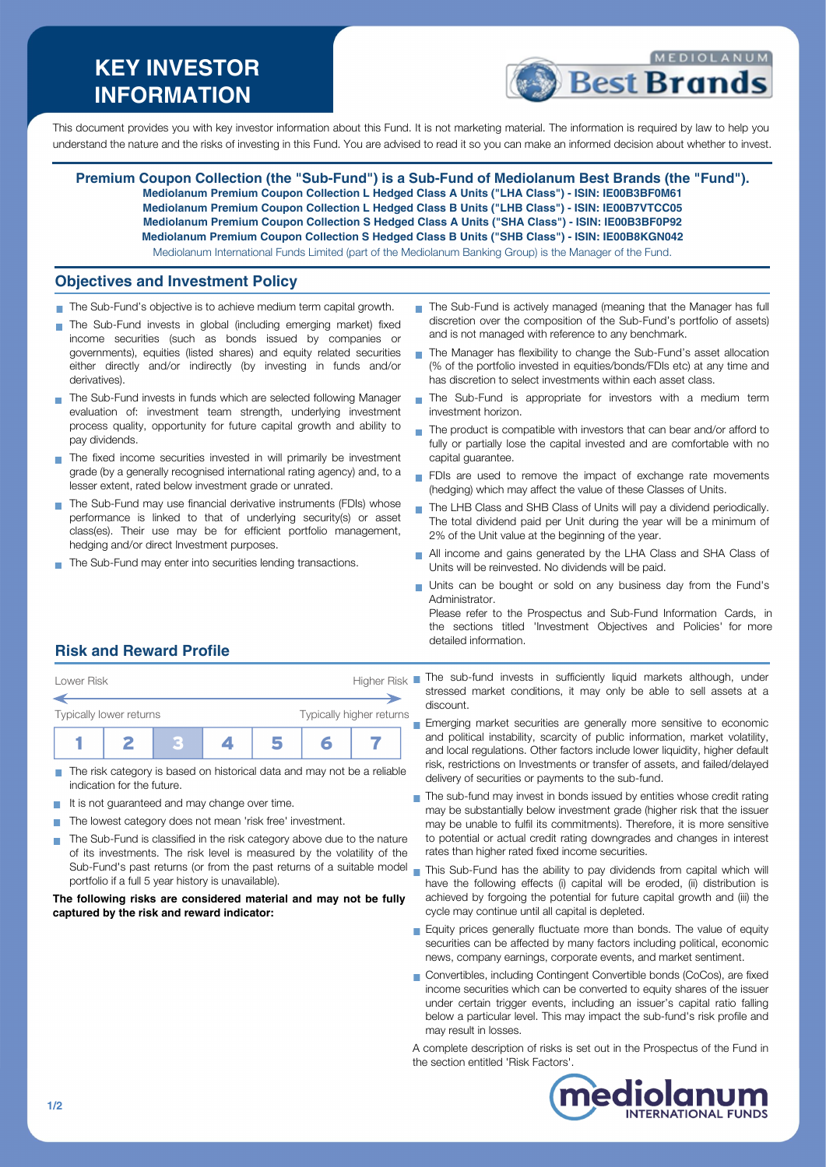# **KEY INVESTOR INFORMATION**



This document provides you with key investor information about this Fund. It is not marketing material. The information is required by law to help you understand the nature and the risks of investing in this Fund. You are advised to read it so you can make an informed decision about whether to invest.

**Premium Coupon Collection (the "Sub-Fund") is a Sub-Fund of Mediolanum Best Brands (the "Fund"). Mediolanum Premium Coupon Collection L Hedged Class A Units ("LHA Class") - ISIN: IE00B3BF0M61 Mediolanum Premium Coupon Collection L Hedged Class B Units ("LHB Class") - ISIN: IE00B7VTCC05 Mediolanum Premium Coupon Collection S Hedged Class A Units ("SHA Class") - ISIN: IE00B3BF0P92 Mediolanum Premium Coupon Collection S Hedged Class B Units ("SHB Class") - ISIN: IE00B8KGN042** Mediolanum International Funds Limited (part of the Mediolanum Banking Group) is the Manager of the Fund.

### **Objectives and Investment Policy**

- The Sub-Fund's objective is to achieve medium term capital growth.
- The Sub-Fund invests in global (including emerging market) fixed income securities (such as bonds issued by companies or governments), equities (listed shares) and equity related securities either directly and/or indirectly (by investing in funds and/or derivatives).
- The Sub-Fund invests in funds which are selected following Manager evaluation of: investment team strength, underlying investment process quality, opportunity for future capital growth and ability to pay dividends.
- $\blacksquare$  The fixed income securities invested in will primarily be investment grade (by a generally recognised international rating agency) and, to a lesser extent, rated below investment grade or unrated.
- The Sub-Fund may use financial derivative instruments (FDIs) whose performance is linked to that of underlying security(s) or asset class(es). Their use may be for efficient portfolio management, hedging and/or direct Investment purposes.
- The Sub-Fund may enter into securities lending transactions.
- The Sub-Fund is actively managed (meaning that the Manager has full discretion over the composition of the Sub-Fund's portfolio of assets) and is not managed with reference to any benchmark.
- The Manager has flexibility to change the Sub-Fund's asset allocation (% of the portfolio invested in equities/bonds/FDIs etc) at any time and has discretion to select investments within each asset class.
- The Sub-Fund is appropriate for investors with a medium term  $\mathbf{r}$ investment horizon.
- The product is compatible with investors that can bear and/or afford to fully or partially lose the capital invested and are comfortable with no capital guarantee.
- FDIs are used to remove the impact of exchange rate movements (hedging) which may affect the value of these Classes of Units.
- The LHB Class and SHB Class of Units will pay a dividend periodically. The total dividend paid per Unit during the year will be a minimum of 2% of the Unit value at the beginning of the year.
- All income and gains generated by the LHA Class and SHA Class of Units will be reinvested. No dividends will be paid.
- Units can be bought or sold on any business day from the Fund's Administrator.

Please refer to the Prospectus and Sub-Fund Information Cards, in the sections titled 'Investment Objectives and Policies' for more detailed information.

# **Risk and Reward Profile**



- The risk category is based on historical data and may not be a reliable **The State** indication for the future.
- It is not guaranteed and may change over time.
- The lowest category does not mean 'risk free' investment.  $\sim$
- The Sub-Fund is classified in the risk category above due to the nature of its investments. The risk level is measured by the volatility of the Sub-Fund's past returns (or from the past returns of a suitable model n This Sub-Fund has the ability to pay dividends from capital which will portfolio if a full 5 year history is unavailable).

#### **The following risks are considered material and may not be fully captured by the risk and reward indicator:**

- Lower Risk **Higher Risk** The sub-fund invests in sufficiently liquid markets although, under stressed market conditions, it may only be able to sell assets at a discount.
	- Emerging market securities are generally more sensitive to economic and political instability, scarcity of public information, market volatility, and local regulations. Other factors include lower liquidity, higher default risk, restrictions on Investments or transfer of assets, and failed/delayed delivery of securities or payments to the sub-fund.
	- The sub-fund may invest in bonds issued by entities whose credit rating may be substantially below investment grade (higher risk that the issuer may be unable to fulfil its commitments). Therefore, it is more sensitive to potential or actual credit rating downgrades and changes in interest rates than higher rated fixed income securities.
	- have the following effects (i) capital will be eroded, (ii) distribution is achieved by forgoing the potential for future capital growth and (iii) the cycle may continue until all capital is depleted.
	- Equity prices generally fluctuate more than bonds. The value of equity securities can be affected by many factors including political, economic news, company earnings, corporate events, and market sentiment.
	- Convertibles, including Contingent Convertible bonds (CoCos), are fixed income securities which can be converted to equity shares of the issuer under certain trigger events, including an issuer's capital ratio falling below a particular level. This may impact the sub-fund's risk profile and may result in losses.

A complete description of risks is set out in the Prospectus of the Fund in the section entitled 'Risk Factors'.